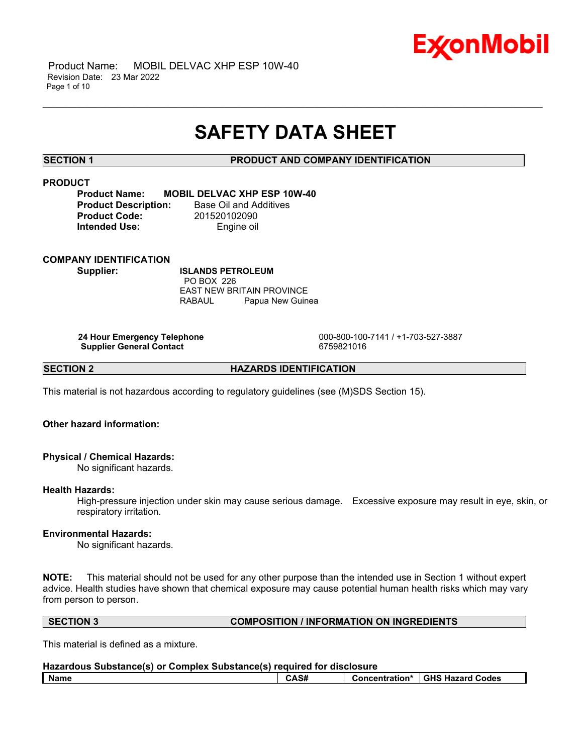

## **SAFETY DATA SHEET**

\_\_\_\_\_\_\_\_\_\_\_\_\_\_\_\_\_\_\_\_\_\_\_\_\_\_\_\_\_\_\_\_\_\_\_\_\_\_\_\_\_\_\_\_\_\_\_\_\_\_\_\_\_\_\_\_\_\_\_\_\_\_\_\_\_\_\_\_\_\_\_\_\_\_\_\_\_\_\_\_\_\_\_\_\_\_\_\_\_\_\_\_\_\_\_\_\_\_\_\_\_\_\_\_\_\_\_\_\_\_\_\_\_\_\_\_\_\_

### **SECTION 1 PRODUCT AND COMPANY IDENTIFICATION**

## **PRODUCT**

**Product Name: MOBIL DELVAC XHP ESP 10W-40 Product Code:** 201520102090 **Intended Use:** Engine oil

**Product Description:** Base Oil and Additives

#### **COMPANY IDENTIFICATION**

**Supplier: ISLANDS PETROLEUM** PO BOX 226 EAST NEW BRITAIN PROVINCE RABAUL Papua New Guinea

**Supplier General Contact** 6759821016

**24 Hour Emergency Telephone** 000-800-100-7141 / +1-703-527-3887

**SECTION 2 HAZARDS IDENTIFICATION**

This material is not hazardous according to regulatory guidelines (see (M)SDS Section 15).

### **Other hazard information:**

#### **Physical / Chemical Hazards:**

No significant hazards.

#### **Health Hazards:**

High-pressure injection under skin may cause serious damage. Excessive exposure may result in eye, skin, or respiratory irritation.

### **Environmental Hazards:**

No significant hazards.

**NOTE:** This material should not be used for any other purpose than the intended use in Section 1 without expert advice. Health studies have shown that chemical exposure may cause potential human health risks which may vary from person to person.

#### **SECTION 3 COMPOSITION / INFORMATION ON INGREDIENTS**

This material is defined as a mixture.

| Hazardous Substance(s) or Complex Substance(s) required for disclosure |      |  |                                 |
|------------------------------------------------------------------------|------|--|---------------------------------|
| l Name                                                                 | CAS# |  | Concentration* GHS Hazard Codes |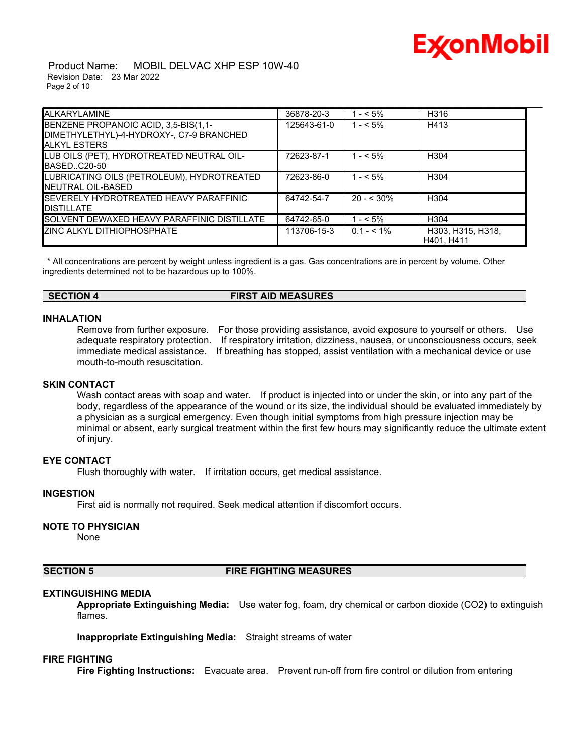# Ex⁄onMobil

 Product Name: MOBIL DELVAC XHP ESP 10W-40 Revision Date: 23 Mar 2022 Page 2 of 10

| <b>ALKARYLAMINE</b>                                                                                     | 36878-20-3  | $- < 5\%$     | H316                            |
|---------------------------------------------------------------------------------------------------------|-------------|---------------|---------------------------------|
| BENZENE PROPANOIC ACID, 3,5-BIS(1,1-<br>DIMETHYLETHYL)-4-HYDROXY-, C7-9 BRANCHED<br><b>ALKYL ESTERS</b> | 125643-61-0 | $1 - 5\%$     | H413                            |
| LUB OILS (PET), HYDROTREATED NEUTRAL OIL-<br>BASEDC20-50                                                | 72623-87-1  | $1 - 5\%$     | H <sub>304</sub>                |
| LUBRICATING OILS (PETROLEUM), HYDROTREATED<br><b>INEUTRAL OIL-BASED</b>                                 | 72623-86-0  | $1 - 5\%$     | H <sub>304</sub>                |
| SEVERELY HYDROTREATED HEAVY PARAFFINIC<br><b>DISTILLATE</b>                                             | 64742-54-7  | $20 - 530\%$  | H304                            |
| SOLVENT DEWAXED HEAVY PARAFFINIC DISTILLATE                                                             | 64742-65-0  | $- < 5\%$     | H304                            |
| ZINC ALKYL DITHIOPHOSPHATE                                                                              | 113706-15-3 | $0.1 - 5.1\%$ | H303, H315, H318,<br>H401. H411 |

\* All concentrations are percent by weight unless ingredient is a gas. Gas concentrations are in percent by volume. Other ingredients determined not to be hazardous up to 100%.

**SECTION 4 FIRST AID MEASURES**

### **INHALATION**

mouth-to-mouth resuscitation.

Remove from further exposure. For those providing assistance, avoid exposure to yourself or others. Use adequate respiratory protection. If respiratory irritation, dizziness, nausea, or unconsciousness occurs, seek immediate medical assistance. If breathing has stopped, assist ventilation with a mechanical device or use

#### **SKIN CONTACT**

Wash contact areas with soap and water. If product is injected into or under the skin, or into any part of the body, regardless of the appearance of the wound or its size, the individual should be evaluated immediately by a physician as a surgical emergency. Even though initial symptoms from high pressure injection may be minimal or absent, early surgical treatment within the first few hours may significantly reduce the ultimate extent of injury.

#### **EYE CONTACT**

Flush thoroughly with water. If irritation occurs, get medical assistance.

#### **INGESTION**

First aid is normally not required. Seek medical attention if discomfort occurs.

#### **NOTE TO PHYSICIAN**

None

#### **SECTION 5 FIRE FIGHTING MEASURES**

#### **EXTINGUISHING MEDIA**

**Appropriate Extinguishing Media:** Use water fog, foam, dry chemical or carbon dioxide (CO2) to extinguish flames.

**Inappropriate Extinguishing Media:** Straight streams of water

#### **FIRE FIGHTING**

**Fire Fighting Instructions:** Evacuate area. Prevent run-off from fire control or dilution from entering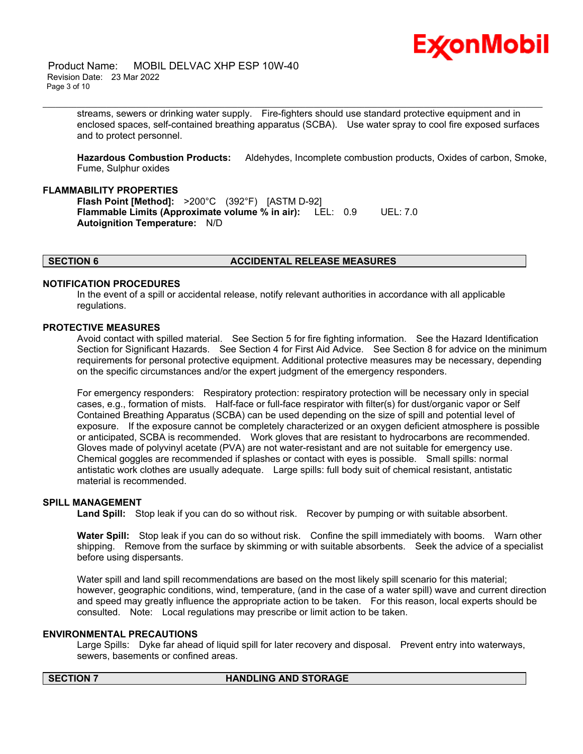## Ex⁄onMobil

 Product Name: MOBIL DELVAC XHP ESP 10W-40 Revision Date: 23 Mar 2022 Page 3 of 10

> streams, sewers or drinking water supply. Fire-fighters should use standard protective equipment and in enclosed spaces, self-contained breathing apparatus (SCBA). Use water spray to cool fire exposed surfaces and to protect personnel.

\_\_\_\_\_\_\_\_\_\_\_\_\_\_\_\_\_\_\_\_\_\_\_\_\_\_\_\_\_\_\_\_\_\_\_\_\_\_\_\_\_\_\_\_\_\_\_\_\_\_\_\_\_\_\_\_\_\_\_\_\_\_\_\_\_\_\_\_\_\_\_\_\_\_\_\_\_\_\_\_\_\_\_\_\_\_\_\_\_\_\_\_\_\_\_\_\_\_\_\_\_\_\_\_\_\_\_\_\_\_\_\_\_\_\_\_\_\_

**Hazardous Combustion Products:** Aldehydes, Incomplete combustion products, Oxides of carbon, Smoke, Fume, Sulphur oxides

#### **FLAMMABILITY PROPERTIES**

**Flash Point [Method]:** >200°C (392°F) [ASTM D-92] **Flammable Limits (Approximate volume % in air):** LEL: 0.9 UEL: 7.0 **Autoignition Temperature:** N/D

#### **SECTION 6 ACCIDENTAL RELEASE MEASURES**

#### **NOTIFICATION PROCEDURES**

In the event of a spill or accidental release, notify relevant authorities in accordance with all applicable regulations.

#### **PROTECTIVE MEASURES**

Avoid contact with spilled material. See Section 5 for fire fighting information. See the Hazard Identification Section for Significant Hazards. See Section 4 for First Aid Advice. See Section 8 for advice on the minimum requirements for personal protective equipment. Additional protective measures may be necessary, depending on the specific circumstances and/or the expert judgment of the emergency responders.

For emergency responders: Respiratory protection: respiratory protection will be necessary only in special cases, e.g., formation of mists. Half-face or full-face respirator with filter(s) for dust/organic vapor or Self Contained Breathing Apparatus (SCBA) can be used depending on the size of spill and potential level of exposure. If the exposure cannot be completely characterized or an oxygen deficient atmosphere is possible or anticipated, SCBA is recommended. Work gloves that are resistant to hydrocarbons are recommended. Gloves made of polyvinyl acetate (PVA) are not water-resistant and are not suitable for emergency use. Chemical goggles are recommended if splashes or contact with eyes is possible. Small spills: normal antistatic work clothes are usually adequate. Large spills: full body suit of chemical resistant, antistatic material is recommended.

#### **SPILL MANAGEMENT**

**Land Spill:** Stop leak if you can do so without risk. Recover by pumping or with suitable absorbent.

**Water Spill:** Stop leak if you can do so without risk. Confine the spill immediately with booms. Warn other shipping. Remove from the surface by skimming or with suitable absorbents. Seek the advice of a specialist before using dispersants.

Water spill and land spill recommendations are based on the most likely spill scenario for this material; however, geographic conditions, wind, temperature, (and in the case of a water spill) wave and current direction and speed may greatly influence the appropriate action to be taken. For this reason, local experts should be consulted. Note: Local regulations may prescribe or limit action to be taken.

#### **ENVIRONMENTAL PRECAUTIONS**

Large Spills: Dyke far ahead of liquid spill for later recovery and disposal. Prevent entry into waterways, sewers, basements or confined areas.

#### **SECTION 7 HANDLING AND STORAGE**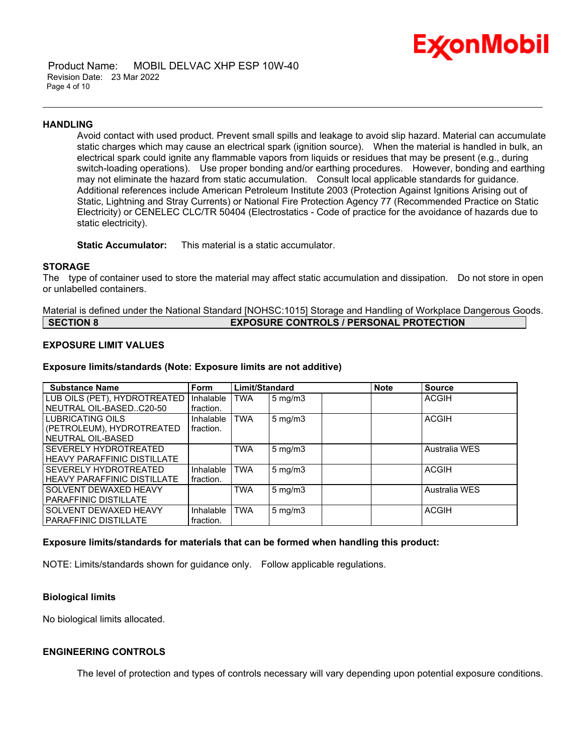

 Product Name: MOBIL DELVAC XHP ESP 10W-40 Revision Date: 23 Mar 2022 Page 4 of 10

#### **HANDLING**

Avoid contact with used product. Prevent small spills and leakage to avoid slip hazard. Material can accumulate static charges which may cause an electrical spark (ignition source). When the material is handled in bulk, an electrical spark could ignite any flammable vapors from liquids or residues that may be present (e.g., during switch-loading operations). Use proper bonding and/or earthing procedures. However, bonding and earthing may not eliminate the hazard from static accumulation. Consult local applicable standards for guidance. Additional references include American Petroleum Institute 2003 (Protection Against Ignitions Arising out of Static, Lightning and Stray Currents) or National Fire Protection Agency 77 (Recommended Practice on Static Electricity) or CENELEC CLC/TR 50404 (Electrostatics - Code of practice for the avoidance of hazards due to static electricity).

\_\_\_\_\_\_\_\_\_\_\_\_\_\_\_\_\_\_\_\_\_\_\_\_\_\_\_\_\_\_\_\_\_\_\_\_\_\_\_\_\_\_\_\_\_\_\_\_\_\_\_\_\_\_\_\_\_\_\_\_\_\_\_\_\_\_\_\_\_\_\_\_\_\_\_\_\_\_\_\_\_\_\_\_\_\_\_\_\_\_\_\_\_\_\_\_\_\_\_\_\_\_\_\_\_\_\_\_\_\_\_\_\_\_\_\_\_\_

**Static Accumulator:** This material is a static accumulator.

#### **STORAGE**

The type of container used to store the material may affect static accumulation and dissipation. Do not store in open or unlabelled containers.

Material is defined under the National Standard [NOHSC:1015] Storage and Handling of Workplace Dangerous Goods. **SECTION 8 EXPOSURE CONTROLS / PERSONAL PROTECTION**

### **EXPOSURE LIMIT VALUES**

#### **Exposure limits/standards (Note: Exposure limits are not additive)**

| <b>Substance Name</b>              | <b>Form</b> | Limit/Standard |                  | <b>Note</b> | <b>Source</b> |
|------------------------------------|-------------|----------------|------------------|-------------|---------------|
| LUB OILS (PET), HYDROTREATED       | Inhalable   | TWA            | $5$ mg/m $3$     |             | <b>ACGIH</b>  |
| NEUTRAL OIL-BASEDC20-50            | fraction.   |                |                  |             |               |
| LUBRICATING OILS                   | Inhalable   | <b>TWA</b>     | $5 \text{ mg/m}$ |             | <b>ACGIH</b>  |
| (PETROLEUM), HYDROTREATED          | fraction.   |                |                  |             |               |
| NEUTRAL OIL-BASED                  |             |                |                  |             |               |
| SEVERELY HYDROTREATED              |             | <b>TWA</b>     | $5 \text{ mg/m}$ |             | Australia WES |
| <b>HEAVY PARAFFINIC DISTILLATE</b> |             |                |                  |             |               |
| SEVERELY HYDROTREATED              | Inhalable   | <b>TWA</b>     | $5 \text{ mg/m}$ |             | <b>ACGIH</b>  |
| <b>HEAVY PARAFFINIC DISTILLATE</b> | fraction.   |                |                  |             |               |
| SOLVENT DEWAXED HEAVY              |             | <b>TWA</b>     | $5 \text{ mg/m}$ |             | Australia WES |
| <b>PARAFFINIC DISTILLATE</b>       |             |                |                  |             |               |
| SOLVENT DEWAXED HEAVY              | Inhalable   | <b>TWA</b>     | $5 \text{ mg/m}$ |             | <b>ACGIH</b>  |
| <b>PARAFFINIC DISTILLATE</b>       | fraction.   |                |                  |             |               |

#### **Exposure limits/standards for materials that can be formed when handling this product:**

NOTE: Limits/standards shown for guidance only. Follow applicable regulations.

#### **Biological limits**

No biological limits allocated.

#### **ENGINEERING CONTROLS**

The level of protection and types of controls necessary will vary depending upon potential exposure conditions.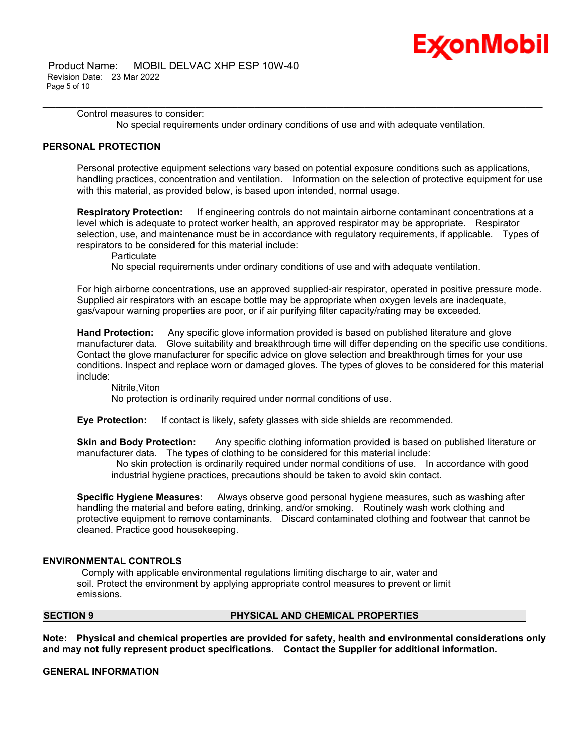

Control measures to consider: No special requirements under ordinary conditions of use and with adequate ventilation.

\_\_\_\_\_\_\_\_\_\_\_\_\_\_\_\_\_\_\_\_\_\_\_\_\_\_\_\_\_\_\_\_\_\_\_\_\_\_\_\_\_\_\_\_\_\_\_\_\_\_\_\_\_\_\_\_\_\_\_\_\_\_\_\_\_\_\_\_\_\_\_\_\_\_\_\_\_\_\_\_\_\_\_\_\_\_\_\_\_\_\_\_\_\_\_\_\_\_\_\_\_\_\_\_\_\_\_\_\_\_\_\_\_\_\_\_\_\_

#### **PERSONAL PROTECTION**

Personal protective equipment selections vary based on potential exposure conditions such as applications, handling practices, concentration and ventilation. Information on the selection of protective equipment for use with this material, as provided below, is based upon intended, normal usage.

**Respiratory Protection:** If engineering controls do not maintain airborne contaminant concentrations at a level which is adequate to protect worker health, an approved respirator may be appropriate. Respirator selection, use, and maintenance must be in accordance with regulatory requirements, if applicable. Types of respirators to be considered for this material include:

**Particulate** 

No special requirements under ordinary conditions of use and with adequate ventilation.

For high airborne concentrations, use an approved supplied-air respirator, operated in positive pressure mode. Supplied air respirators with an escape bottle may be appropriate when oxygen levels are inadequate, gas/vapour warning properties are poor, or if air purifying filter capacity/rating may be exceeded.

**Hand Protection:** Any specific glove information provided is based on published literature and glove manufacturer data. Glove suitability and breakthrough time will differ depending on the specific use conditions. Contact the glove manufacturer for specific advice on glove selection and breakthrough times for your use conditions. Inspect and replace worn or damaged gloves. The types of gloves to be considered for this material include:

#### Nitrile,Viton No protection is ordinarily required under normal conditions of use.

**Eye Protection:** If contact is likely, safety glasses with side shields are recommended.

**Skin and Body Protection:** Any specific clothing information provided is based on published literature or manufacturer data. The types of clothing to be considered for this material include:

No skin protection is ordinarily required under normal conditions of use. In accordance with good industrial hygiene practices, precautions should be taken to avoid skin contact.

**Specific Hygiene Measures:** Always observe good personal hygiene measures, such as washing after handling the material and before eating, drinking, and/or smoking. Routinely wash work clothing and protective equipment to remove contaminants. Discard contaminated clothing and footwear that cannot be cleaned. Practice good housekeeping.

#### **ENVIRONMENTAL CONTROLS**

Comply with applicable environmental regulations limiting discharge to air, water and soil. Protect the environment by applying appropriate control measures to prevent or limit emissions.

#### **SECTION 9 PHYSICAL AND CHEMICAL PROPERTIES**

**Note: Physical and chemical properties are provided for safety, health and environmental considerations only and may not fully represent product specifications. Contact the Supplier for additional information.**

**GENERAL INFORMATION**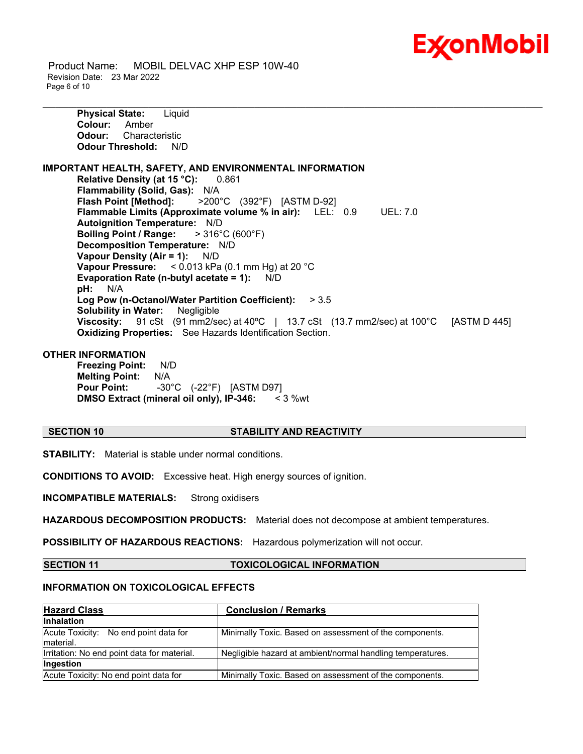

 Product Name: MOBIL DELVAC XHP ESP 10W-40 Revision Date: 23 Mar 2022 Page 6 of 10

**Physical State:** Liquid **Colour:** Amber **Odour:** Characteristic **Odour Threshold:** N/D **IMPORTANT HEALTH, SAFETY, AND ENVIRONMENTAL INFORMATION Relative Density (at 15 °C):** 0.861 **Flammability (Solid, Gas):** N/A **Flash Point [Method]:** >200°C (392°F) [ASTM D-92] **Flammable Limits (Approximate volume % in air):** LEL: 0.9 UEL: 7.0 **Autoignition Temperature:** N/D **Boiling Point / Range:** > 316°C (600°F) **Decomposition Temperature:** N/D **Vapour Density (Air = 1):** N/D **Vapour Pressure:** < 0.013 kPa (0.1 mm Hg) at 20 °C **Evaporation Rate (n-butyl acetate = 1):** N/D **pH:** N/A **Log Pow (n-Octanol/Water Partition Coefficient):** > 3.5 **Solubility in Water:** Negligible **Viscosity:** 91 cSt (91 mm2/sec) at 40ºC | 13.7 cSt (13.7 mm2/sec) at 100°C [ASTM D 445] **Oxidizing Properties:** See Hazards Identification Section.

\_\_\_\_\_\_\_\_\_\_\_\_\_\_\_\_\_\_\_\_\_\_\_\_\_\_\_\_\_\_\_\_\_\_\_\_\_\_\_\_\_\_\_\_\_\_\_\_\_\_\_\_\_\_\_\_\_\_\_\_\_\_\_\_\_\_\_\_\_\_\_\_\_\_\_\_\_\_\_\_\_\_\_\_\_\_\_\_\_\_\_\_\_\_\_\_\_\_\_\_\_\_\_\_\_\_\_\_\_\_\_\_\_\_\_\_\_\_

#### **OTHER INFORMATION**

**Freezing Point:** N/D **Melting Point:** N/A **Pour Point:** -30°C (-22°F) [ASTM D97] **DMSO Extract (mineral oil only), IP-346:** < 3 %wt

#### **SECTION 10 STABILITY AND REACTIVITY**

**STABILITY:** Material is stable under normal conditions.

**CONDITIONS TO AVOID:** Excessive heat. High energy sources of ignition.

**INCOMPATIBLE MATERIALS:** Strong oxidisers

**HAZARDOUS DECOMPOSITION PRODUCTS:** Material does not decompose at ambient temperatures.

**POSSIBILITY OF HAZARDOUS REACTIONS:** Hazardous polymerization will not occur.

**SECTION 11 TOXICOLOGICAL INFORMATION**

### **INFORMATION ON TOXICOLOGICAL EFFECTS**

| <b>Hazard Class</b>                                 | <b>Conclusion / Remarks</b>                                |
|-----------------------------------------------------|------------------------------------------------------------|
| <b>Inhalation</b>                                   |                                                            |
| Acute Toxicity: No end point data for<br>Imaterial. | Minimally Toxic. Based on assessment of the components.    |
| Irritation: No end point data for material.         | Negligible hazard at ambient/normal handling temperatures. |
| <b>Ingestion</b>                                    |                                                            |
| Acute Toxicity: No end point data for               | Minimally Toxic. Based on assessment of the components.    |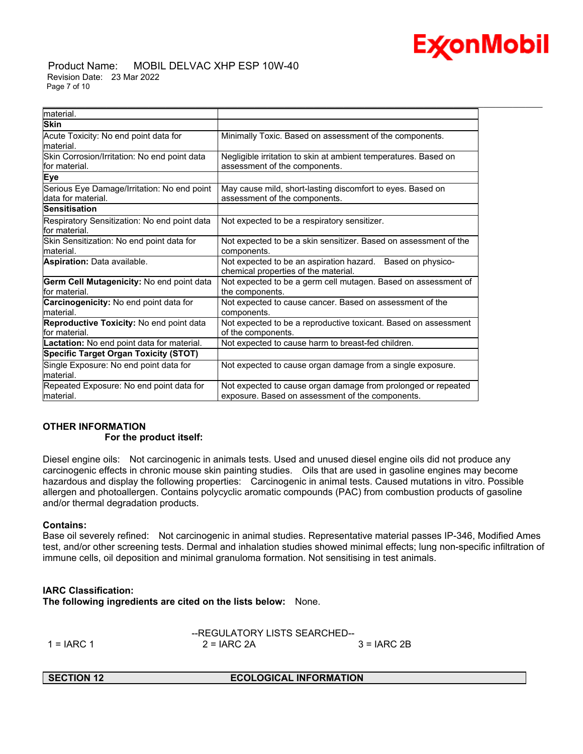

#### Product Name: MOBIL DELVAC XHP ESP 10W-40 Revision Date: 23 Mar 2022 Page 7 of 10

| material.                                                         |                                                                                                                   |
|-------------------------------------------------------------------|-------------------------------------------------------------------------------------------------------------------|
| <b>Skin</b>                                                       |                                                                                                                   |
| Acute Toxicity: No end point data for                             | Minimally Toxic. Based on assessment of the components.                                                           |
| material.                                                         |                                                                                                                   |
| Skin Corrosion/Irritation: No end point data<br>for material.     | Negligible irritation to skin at ambient temperatures. Based on<br>assessment of the components.                  |
| Eye                                                               |                                                                                                                   |
| Serious Eye Damage/Irritation: No end point<br>data for material. | May cause mild, short-lasting discomfort to eyes. Based on<br>assessment of the components.                       |
| Sensitisation                                                     |                                                                                                                   |
| Respiratory Sensitization: No end point data<br>lfor material.    | Not expected to be a respiratory sensitizer.                                                                      |
| Skin Sensitization: No end point data for<br>lmaterial.           | Not expected to be a skin sensitizer. Based on assessment of the<br>components.                                   |
| <b>Aspiration: Data available.</b>                                | Not expected to be an aspiration hazard.<br>Based on physico-<br>chemical properties of the material.             |
| Germ Cell Mutagenicity: No end point data<br>for material.        | Not expected to be a germ cell mutagen. Based on assessment of<br>the components.                                 |
| <b>Carcinogenicity:</b> No end point data for<br>lmaterial.       | Not expected to cause cancer. Based on assessment of the<br>components.                                           |
| Reproductive Toxicity: No end point data<br>lfor material.        | Not expected to be a reproductive toxicant. Based on assessment<br>of the components.                             |
| Lactation: No end point data for material.                        | Not expected to cause harm to breast-fed children.                                                                |
| <b>Specific Target Organ Toxicity (STOT)</b>                      |                                                                                                                   |
| Single Exposure: No end point data for<br>lmaterial.              | Not expected to cause organ damage from a single exposure.                                                        |
| Repeated Exposure: No end point data for<br>material.             | Not expected to cause organ damage from prolonged or repeated<br>exposure. Based on assessment of the components. |

\_\_\_\_\_\_\_\_\_\_\_\_\_\_\_\_\_\_\_\_\_\_\_\_\_\_\_\_\_\_\_\_\_\_\_\_\_\_\_\_\_\_\_\_\_\_\_\_\_\_\_\_\_\_\_\_\_\_\_\_\_\_\_\_\_\_\_\_\_\_\_\_\_\_\_\_\_\_\_\_\_\_\_\_\_\_\_\_\_\_\_\_\_\_\_\_\_\_\_\_\_\_\_\_\_\_\_\_\_\_\_\_\_\_\_\_\_\_

## **OTHER INFORMATION For the product itself:**

Diesel engine oils: Not carcinogenic in animals tests. Used and unused diesel engine oils did not produce any carcinogenic effects in chronic mouse skin painting studies. Oils that are used in gasoline engines may become hazardous and display the following properties: Carcinogenic in animal tests. Caused mutations in vitro. Possible allergen and photoallergen. Contains polycyclic aromatic compounds (PAC) from combustion products of gasoline and/or thermal degradation products.

#### **Contains:**

Base oil severely refined: Not carcinogenic in animal studies. Representative material passes IP-346, Modified Ames test, and/or other screening tests. Dermal and inhalation studies showed minimal effects; lung non-specific infiltration of immune cells, oil deposition and minimal granuloma formation. Not sensitising in test animals.

#### **IARC Classification:**

**The following ingredients are cited on the lists below:** None.

|            | --REGULATORY LISTS SEARCHED-- |              |  |
|------------|-------------------------------|--------------|--|
| 1 = IARC 1 | $2 = IARC 2A$                 | $3 = IARC2B$ |  |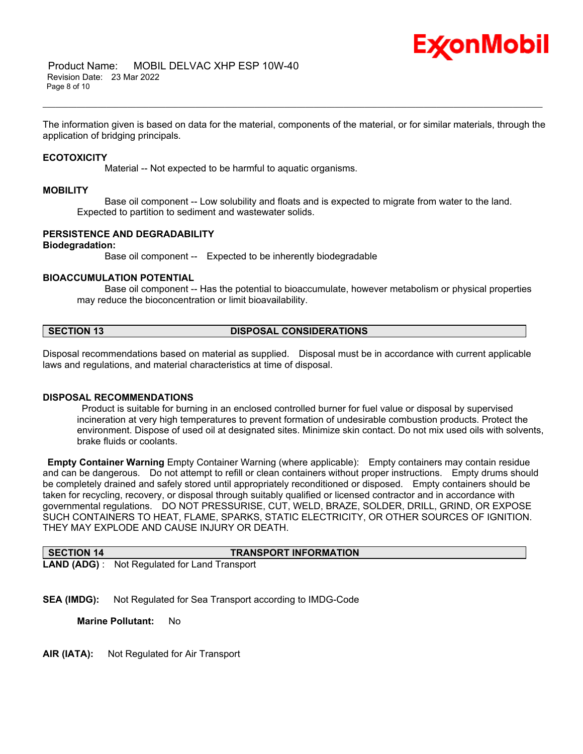

The information given is based on data for the material, components of the material, or for similar materials, through the application of bridging principals.

\_\_\_\_\_\_\_\_\_\_\_\_\_\_\_\_\_\_\_\_\_\_\_\_\_\_\_\_\_\_\_\_\_\_\_\_\_\_\_\_\_\_\_\_\_\_\_\_\_\_\_\_\_\_\_\_\_\_\_\_\_\_\_\_\_\_\_\_\_\_\_\_\_\_\_\_\_\_\_\_\_\_\_\_\_\_\_\_\_\_\_\_\_\_\_\_\_\_\_\_\_\_\_\_\_\_\_\_\_\_\_\_\_\_\_\_\_\_

#### **ECOTOXICITY**

Material -- Not expected to be harmful to aquatic organisms.

#### **MOBILITY**

 Base oil component -- Low solubility and floats and is expected to migrate from water to the land. Expected to partition to sediment and wastewater solids.

#### **PERSISTENCE AND DEGRADABILITY**

#### **Biodegradation:**

Base oil component -- Expected to be inherently biodegradable

#### **BIOACCUMULATION POTENTIAL**

 Base oil component -- Has the potential to bioaccumulate, however metabolism or physical properties may reduce the bioconcentration or limit bioavailability.

#### **SECTION 13 DISPOSAL CONSIDERATIONS**

Disposal recommendations based on material as supplied. Disposal must be in accordance with current applicable laws and regulations, and material characteristics at time of disposal.

#### **DISPOSAL RECOMMENDATIONS**

Product is suitable for burning in an enclosed controlled burner for fuel value or disposal by supervised incineration at very high temperatures to prevent formation of undesirable combustion products. Protect the environment. Dispose of used oil at designated sites. Minimize skin contact. Do not mix used oils with solvents, brake fluids or coolants.

**Empty Container Warning** Empty Container Warning (where applicable): Empty containers may contain residue and can be dangerous. Do not attempt to refill or clean containers without proper instructions. Empty drums should be completely drained and safely stored until appropriately reconditioned or disposed. Empty containers should be taken for recycling, recovery, or disposal through suitably qualified or licensed contractor and in accordance with governmental regulations. DO NOT PRESSURISE, CUT, WELD, BRAZE, SOLDER, DRILL, GRIND, OR EXPOSE SUCH CONTAINERS TO HEAT, FLAME, SPARKS, STATIC ELECTRICITY, OR OTHER SOURCES OF IGNITION. THEY MAY EXPLODE AND CAUSE INJURY OR DEATH.

| <b>SECTION 14</b> | <b>TRANSPORT INFORMATION</b>                         |
|-------------------|------------------------------------------------------|
|                   | <b>LAND (ADG)</b> : Not Regulated for Land Transport |

**SEA (IMDG):** Not Regulated for Sea Transport according to IMDG-Code

**Marine Pollutant:** No

**AIR (IATA):** Not Regulated for Air Transport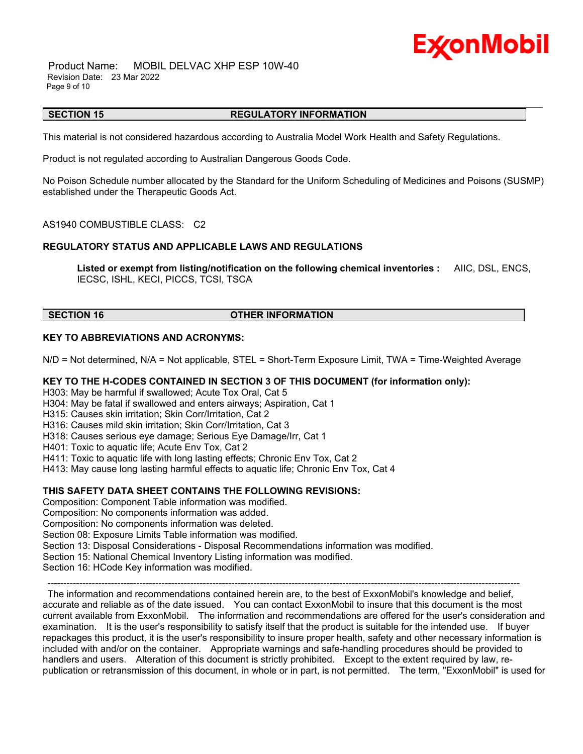## Ex⁄onMobil

 Product Name: MOBIL DELVAC XHP ESP 10W-40 Revision Date: 23 Mar 2022 Page 9 of 10

#### \_\_\_\_\_\_\_\_\_\_\_\_\_\_\_\_\_\_\_\_\_\_\_\_\_\_\_\_\_\_\_\_\_\_\_\_\_\_\_\_\_\_\_\_\_\_\_\_\_\_\_\_\_\_\_\_\_\_\_\_\_\_\_\_\_\_\_\_\_\_\_\_\_\_\_\_\_\_\_\_\_\_\_\_\_\_\_\_\_\_\_\_\_\_\_\_\_\_\_\_\_\_\_\_\_\_\_\_\_\_\_\_\_\_\_\_\_\_ **SECTION 15 REGULATORY INFORMATION**

This material is not considered hazardous according to Australia Model Work Health and Safety Regulations.

Product is not regulated according to Australian Dangerous Goods Code.

No Poison Schedule number allocated by the Standard for the Uniform Scheduling of Medicines and Poisons (SUSMP) established under the Therapeutic Goods Act.

AS1940 COMBUSTIBLE CLASS: C2

## **REGULATORY STATUS AND APPLICABLE LAWS AND REGULATIONS**

**Listed or exempt from listing/notification on the following chemical inventories :** AIIC, DSL, ENCS, IECSC, ISHL, KECI, PICCS, TCSI, TSCA

**SECTION 16 OTHER INFORMATION**

### **KEY TO ABBREVIATIONS AND ACRONYMS:**

N/D = Not determined, N/A = Not applicable, STEL = Short-Term Exposure Limit, TWA = Time-Weighted Average

## **KEY TO THE H-CODES CONTAINED IN SECTION 3 OF THIS DOCUMENT (for information only):**

H303: May be harmful if swallowed; Acute Tox Oral, Cat 5

H304: May be fatal if swallowed and enters airways; Aspiration, Cat 1

H315: Causes skin irritation; Skin Corr/Irritation, Cat 2

H316: Causes mild skin irritation; Skin Corr/Irritation, Cat 3

H318: Causes serious eye damage; Serious Eye Damage/Irr, Cat 1

H401: Toxic to aquatic life; Acute Env Tox, Cat 2

H411: Toxic to aquatic life with long lasting effects; Chronic Env Tox, Cat 2

H413: May cause long lasting harmful effects to aquatic life; Chronic Env Tox, Cat 4

## **THIS SAFETY DATA SHEET CONTAINS THE FOLLOWING REVISIONS:**

Composition: Component Table information was modified.

Composition: No components information was added.

Composition: No components information was deleted.

Section 08: Exposure Limits Table information was modified.

Section 13: Disposal Considerations - Disposal Recommendations information was modified.

Section 15: National Chemical Inventory Listing information was modified.

Section 16: HCode Key information was modified.

----------------------------------------------------------------------------------------------------------------------------------------------------- The information and recommendations contained herein are, to the best of ExxonMobil's knowledge and belief, accurate and reliable as of the date issued. You can contact ExxonMobil to insure that this document is the most current available from ExxonMobil. The information and recommendations are offered for the user's consideration and examination. It is the user's responsibility to satisfy itself that the product is suitable for the intended use. If buyer repackages this product, it is the user's responsibility to insure proper health, safety and other necessary information is included with and/or on the container. Appropriate warnings and safe-handling procedures should be provided to handlers and users. Alteration of this document is strictly prohibited. Except to the extent required by law, republication or retransmission of this document, in whole or in part, is not permitted. The term, "ExxonMobil" is used for